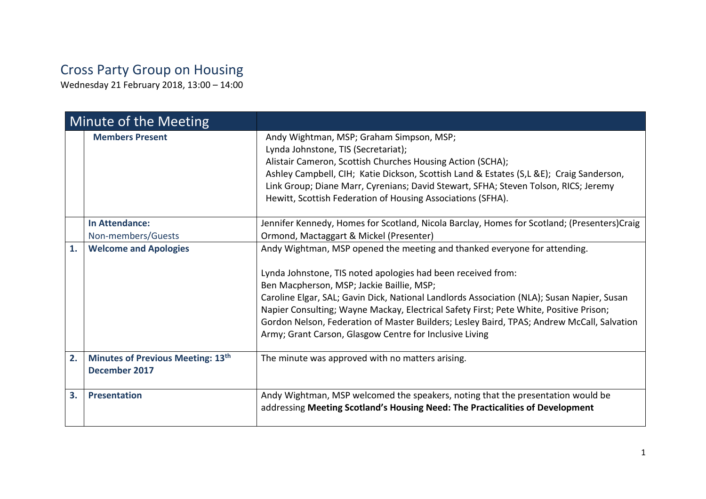## Cross Party Group on Housing

Wednesday 21 February 2018, 13:00 – 14:00

| Minute of the Meeting |                                                    |                                                                                                                                                                                                                                                                                                                                                                                                                                                                                                                                         |
|-----------------------|----------------------------------------------------|-----------------------------------------------------------------------------------------------------------------------------------------------------------------------------------------------------------------------------------------------------------------------------------------------------------------------------------------------------------------------------------------------------------------------------------------------------------------------------------------------------------------------------------------|
|                       | <b>Members Present</b>                             | Andy Wightman, MSP; Graham Simpson, MSP;<br>Lynda Johnstone, TIS (Secretariat);<br>Alistair Cameron, Scottish Churches Housing Action (SCHA);<br>Ashley Campbell, CIH; Katie Dickson, Scottish Land & Estates (S,L &E); Craig Sanderson,<br>Link Group; Diane Marr, Cyrenians; David Stewart, SFHA; Steven Tolson, RICS; Jeremy<br>Hewitt, Scottish Federation of Housing Associations (SFHA).                                                                                                                                          |
|                       | <b>In Attendance:</b><br>Non-members/Guests        | Jennifer Kennedy, Homes for Scotland, Nicola Barclay, Homes for Scotland; (Presenters) Craig<br>Ormond, Mactaggart & Mickel (Presenter)                                                                                                                                                                                                                                                                                                                                                                                                 |
| 1.                    | <b>Welcome and Apologies</b>                       | Andy Wightman, MSP opened the meeting and thanked everyone for attending.<br>Lynda Johnstone, TIS noted apologies had been received from:<br>Ben Macpherson, MSP; Jackie Baillie, MSP;<br>Caroline Elgar, SAL; Gavin Dick, National Landlords Association (NLA); Susan Napier, Susan<br>Napier Consulting; Wayne Mackay, Electrical Safety First; Pete White, Positive Prison;<br>Gordon Nelson, Federation of Master Builders; Lesley Baird, TPAS; Andrew McCall, Salvation<br>Army; Grant Carson, Glasgow Centre for Inclusive Living |
| 2.                    | Minutes of Previous Meeting: 13th<br>December 2017 | The minute was approved with no matters arising.                                                                                                                                                                                                                                                                                                                                                                                                                                                                                        |
| 3.                    | <b>Presentation</b>                                | Andy Wightman, MSP welcomed the speakers, noting that the presentation would be<br>addressing Meeting Scotland's Housing Need: The Practicalities of Development                                                                                                                                                                                                                                                                                                                                                                        |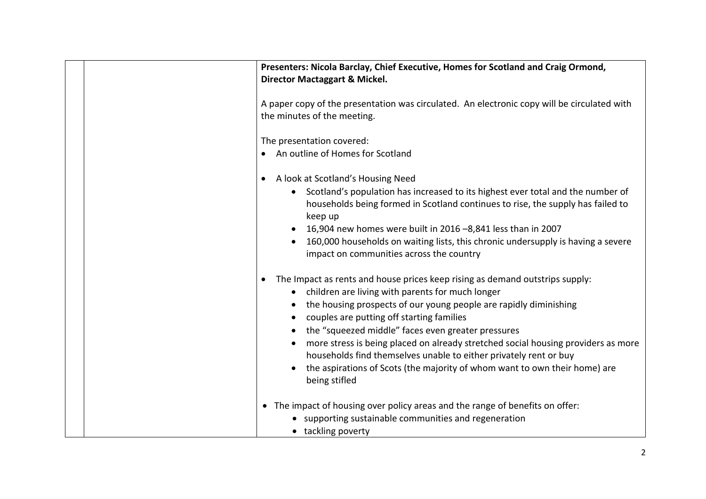| Presenters: Nicola Barclay, Chief Executive, Homes for Scotland and Craig Ormond,<br>Director Mactaggart & Mickel.                                                                                                                                                                                                                                                                                                                                                                                                                                                             |
|--------------------------------------------------------------------------------------------------------------------------------------------------------------------------------------------------------------------------------------------------------------------------------------------------------------------------------------------------------------------------------------------------------------------------------------------------------------------------------------------------------------------------------------------------------------------------------|
| A paper copy of the presentation was circulated. An electronic copy will be circulated with<br>the minutes of the meeting.                                                                                                                                                                                                                                                                                                                                                                                                                                                     |
| The presentation covered:<br>An outline of Homes for Scotland                                                                                                                                                                                                                                                                                                                                                                                                                                                                                                                  |
| A look at Scotland's Housing Need<br>$\bullet$<br>Scotland's population has increased to its highest ever total and the number of<br>households being formed in Scotland continues to rise, the supply has failed to<br>keep up<br>16,904 new homes were built in 2016 -8,841 less than in 2007<br>160,000 households on waiting lists, this chronic undersupply is having a severe<br>impact on communities across the country                                                                                                                                                |
| The Impact as rents and house prices keep rising as demand outstrips supply:<br>$\bullet$<br>children are living with parents for much longer<br>the housing prospects of our young people are rapidly diminishing<br>couples are putting off starting families<br>the "squeezed middle" faces even greater pressures<br>more stress is being placed on already stretched social housing providers as more<br>households find themselves unable to either privately rent or buy<br>the aspirations of Scots (the majority of whom want to own their home) are<br>being stifled |
| • The impact of housing over policy areas and the range of benefits on offer:<br>• supporting sustainable communities and regeneration<br>• tackling poverty                                                                                                                                                                                                                                                                                                                                                                                                                   |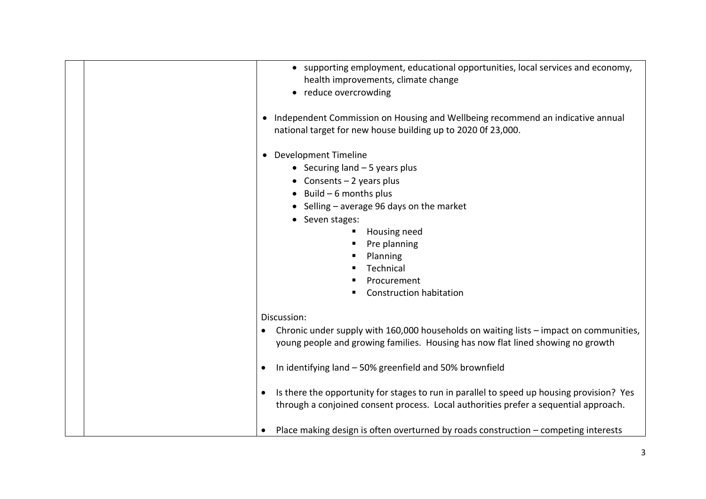| • supporting employment, educational opportunities, local services and economy,<br>health improvements, climate change<br>• reduce overcrowding<br>Independent Commission on Housing and Wellbeing recommend an indicative annual<br>$\bullet$<br>national target for new house building up to 2020 Of 23,000.                                                                                                                                                                                                                                            |
|-----------------------------------------------------------------------------------------------------------------------------------------------------------------------------------------------------------------------------------------------------------------------------------------------------------------------------------------------------------------------------------------------------------------------------------------------------------------------------------------------------------------------------------------------------------|
| <b>Development Timeline</b><br>$\bullet$<br>• Securing land $-5$ years plus<br>• Consents $-2$ years plus<br>$\bullet$ Build - 6 months plus<br>• Selling - average 96 days on the market<br>• Seven stages:<br>Housing need<br>ш<br>Pre planning<br>Planning<br>Technical<br>Procurement<br><b>Construction habitation</b>                                                                                                                                                                                                                               |
| Discussion:<br>Chronic under supply with 160,000 households on waiting lists - impact on communities,<br>young people and growing families. Housing has now flat lined showing no growth<br>In identifying land - 50% greenfield and 50% brownfield<br>$\bullet$<br>Is there the opportunity for stages to run in parallel to speed up housing provision? Yes<br>through a conjoined consent process. Local authorities prefer a sequential approach.<br>Place making design is often overturned by roads construction - competing interests<br>$\bullet$ |